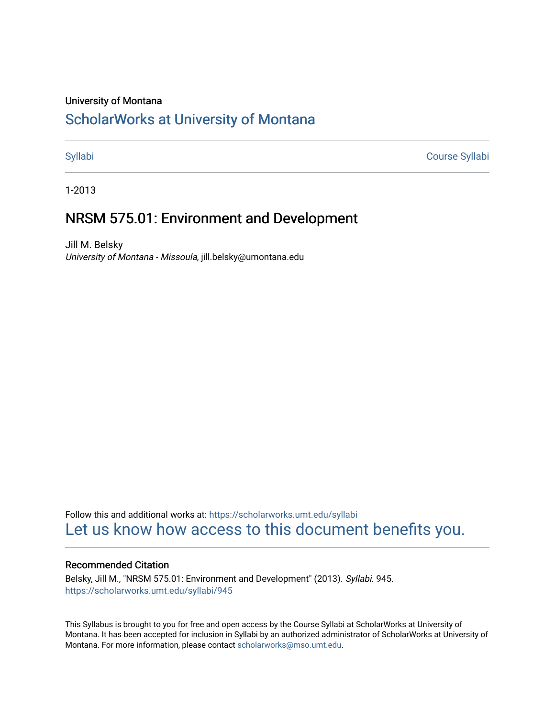#### University of Montana

# [ScholarWorks at University of Montana](https://scholarworks.umt.edu/)

[Syllabi](https://scholarworks.umt.edu/syllabi) [Course Syllabi](https://scholarworks.umt.edu/course_syllabi) 

1-2013

# NRSM 575.01: Environment and Development

Jill M. Belsky University of Montana - Missoula, jill.belsky@umontana.edu

Follow this and additional works at: [https://scholarworks.umt.edu/syllabi](https://scholarworks.umt.edu/syllabi?utm_source=scholarworks.umt.edu%2Fsyllabi%2F945&utm_medium=PDF&utm_campaign=PDFCoverPages)  [Let us know how access to this document benefits you.](https://goo.gl/forms/s2rGfXOLzz71qgsB2) 

#### Recommended Citation

Belsky, Jill M., "NRSM 575.01: Environment and Development" (2013). Syllabi. 945. [https://scholarworks.umt.edu/syllabi/945](https://scholarworks.umt.edu/syllabi/945?utm_source=scholarworks.umt.edu%2Fsyllabi%2F945&utm_medium=PDF&utm_campaign=PDFCoverPages) 

This Syllabus is brought to you for free and open access by the Course Syllabi at ScholarWorks at University of Montana. It has been accepted for inclusion in Syllabi by an authorized administrator of ScholarWorks at University of Montana. For more information, please contact [scholarworks@mso.umt.edu.](mailto:scholarworks@mso.umt.edu)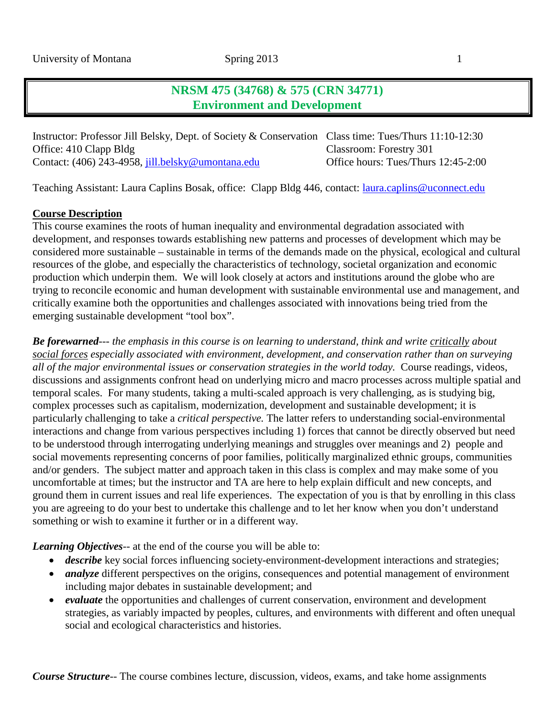# **NRSM 475 (34768) & 575 (CRN 34771) Environment and Development**

Instructor: Professor Jill Belsky, Dept. of Society & Conservation Class time: Tues/Thurs 11:10-12:30 Office: 410 Clapp Bldg Classroom: Forestry 301 Contact: (406) 243-4958, [jill.belsky@umontana.edu](mailto:jill.belsky@umontana.edu) Office hours: Tues/Thurs 12:45-2:00

Teaching Assistant: Laura Caplins Bosak, office: Clapp Bldg 446, contact: *[laura.caplins@uconnect.edu](mailto:laura.caplins@uconnect.edu)* 

#### **Course Description**

This course examines the roots of human inequality and environmental degradation associated with development, and responses towards establishing new patterns and processes of development which may be considered more sustainable – sustainable in terms of the demands made on the physical, ecological and cultural resources of the globe, and especially the characteristics of technology, societal organization and economic production which underpin them. We will look closely at actors and institutions around the globe who are trying to reconcile economic and human development with sustainable environmental use and management, and critically examine both the opportunities and challenges associated with innovations being tried from the emerging sustainable development "tool box".

*Be forewarned*--- *the emphasis in this course is on learning to understand, think and write critically about social forces especially associated with environment, development, and conservation rather than on surveying all of the major environmental issues or conservation strategies in the world today.* Course readings, videos, discussions and assignments confront head on underlying micro and macro processes across multiple spatial and temporal scales. For many students, taking a multi-scaled approach is very challenging, as is studying big, complex processes such as capitalism, modernization, development and sustainable development; it is particularly challenging to take a *critical perspective.* The latter refers to understanding social-environmental interactions and change from various perspectives including 1) forces that cannot be directly observed but need to be understood through interrogating underlying meanings and struggles over meanings and 2) people and social movements representing concerns of poor families, politically marginalized ethnic groups, communities and/or genders. The subject matter and approach taken in this class is complex and may make some of you uncomfortable at times; but the instructor and TA are here to help explain difficult and new concepts, and ground them in current issues and real life experiences. The expectation of you is that by enrolling in this class you are agreeing to do your best to undertake this challenge and to let her know when you don't understand something or wish to examine it further or in a different way.

*Learning Objectives*-- at the end of the course you will be able to:

- *describe* key social forces influencing society-environment-development interactions and strategies;
- *analyze* different perspectives on the origins, consequences and potential management of environment including major debates in sustainable development; and
- *evaluate* the opportunities and challenges of current conservation, environment and development strategies, as variably impacted by peoples, cultures, and environments with different and often unequal social and ecological characteristics and histories.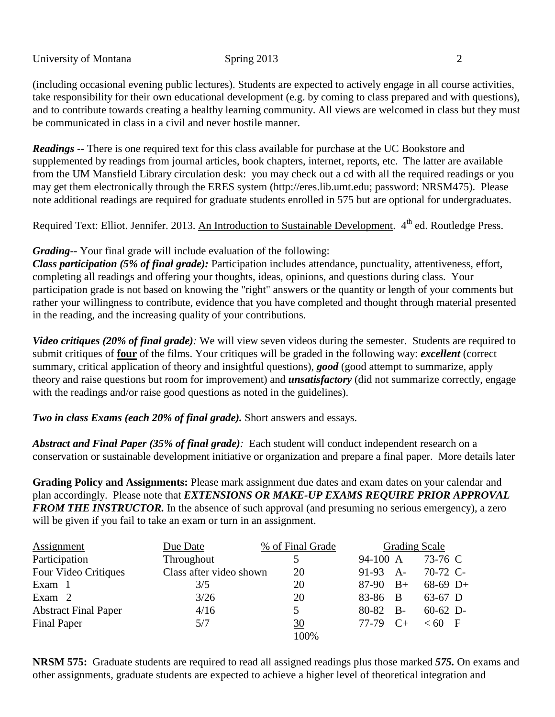(including occasional evening public lectures). Students are expected to actively engage in all course activities, take responsibility for their own educational development (e.g. by coming to class prepared and with questions), and to contribute towards creating a healthy learning community. All views are welcomed in class but they must be communicated in class in a civil and never hostile manner.

*Readings* -- There is one required text for this class available for purchase at the UC Bookstore and supplemented by readings from journal articles, book chapters, internet, reports, etc. The latter are available from the UM Mansfield Library circulation desk: you may check out a cd with all the required readings or you may get them electronically through the ERES system [\(http://eres.lib.umt.edu;](http://eres.lib.umt.edu/) password: NRSM475). Please note additional readings are required for graduate students enrolled in 575 but are optional for undergraduates.

Required Text: Elliot. Jennifer. 2013. An Introduction to Sustainable Development. 4<sup>th</sup> ed. Routledge Press.

### *Grading*-- Your final grade will include evaluation of the following:

*Class participation (5% of final grade):* Participation includes attendance, punctuality, attentiveness, effort, completing all readings and offering your thoughts, ideas, opinions, and questions during class. Your participation grade is not based on knowing the "right" answers or the quantity or length of your comments but rather your willingness to contribute, evidence that you have completed and thought through material presented in the reading, and the increasing quality of your contributions.

*Video critiques (20% of final grade):* We will view seven videos during the semester. Students are required to submit critiques of **four** of the films. Your critiques will be graded in the following way: *excellent* (correct summary, critical application of theory and insightful questions), *good* (good attempt to summarize, apply theory and raise questions but room for improvement) and *unsatisfactory* (did not summarize correctly, engage with the readings and/or raise good questions as noted in the guidelines).

### *Two in class Exams (each 20% of final grade).* Short answers and essays.

*Abstract and Final Paper (35% of final grade):* Each student will conduct independent research on a conservation or sustainable development initiative or organization and prepare a final paper. More details later

**Grading Policy and Assignments:** Please mark assignment due dates and exam dates on your calendar and plan accordingly. Please note that *EXTENSIONS OR MAKE-UP EXAMS REQUIRE PRIOR APPROVAL FROM THE INSTRUCTOR.* In the absence of such approval (and presuming no serious emergency), a zero will be given if you fail to take an exam or turn in an assignment.

| <b>Assignment</b>           | Due Date                | % of Final Grade |            | <b>Grading Scale</b> |            |  |
|-----------------------------|-------------------------|------------------|------------|----------------------|------------|--|
| Participation               | Throughout              |                  | 94-100 A   |                      | 73-76 C    |  |
| Four Video Critiques        | Class after video shown | 20               | $91-93$ A- |                      | 70-72 C-   |  |
| Exam 1                      | 3/5                     | 20               | $87-90$ B+ |                      | $68-69$ D+ |  |
| Exam 2                      | 3/26                    | 20               | 83-86 B    |                      | $63-67$ D  |  |
| <b>Abstract Final Paper</b> | 4/16                    |                  | 80-82 B-   |                      | $60-62$ D- |  |
| Final Paper                 | 5/7                     | 30               | 77-79      | $C+$                 | $< 60$ F   |  |
|                             |                         | 100%             |            |                      |            |  |

**NRSM 575:** Graduate students are required to read all assigned readings plus those marked *575.* On exams and other assignments, graduate students are expected to achieve a higher level of theoretical integration and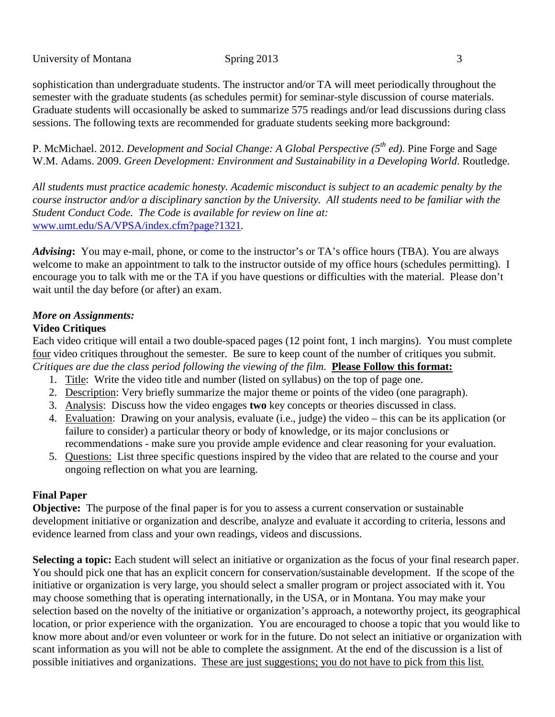sophistication than undergraduate students. The instructor and/or TA will meet periodically throughout the semester with the graduate students (as schedules permit) for seminar-style discussion of course materials. Graduate students will occasionally be asked to summarize 575 readings and/or lead discussions during class sessions. The following texts are recommended for graduate students seeking more background:

P. McMichael. 2012. *Development and Social Change: A Global Perspective* (5<sup>th</sup> *ed*). Pine Forge and Sage W.M. Adams. 2009. *Green Development: Environment and Sustainability in a Developing World.* Routledge.

*All students must practice academic honesty. Academic misconduct is subject to an academic penalty by the course instructor and/or a disciplinary sanction by the University. All students need to be familiar with the Student Conduct Code. The Code is available for review on line at:* [www.umt.edu/SA/VPSA/index.cfm?page?1321](http://www.umt.edu/SA/VPSA/index.cfm?page?1321)*.*

*Advising***:** You may e-mail, phone, or come to the instructor's or TA's office hours (TBA). You are always welcome to make an appointment to talk to the instructor outside of my office hours (schedules permitting). I encourage you to talk with me or the TA if you have questions or difficulties with the material. Please don't wait until the day before (or after) an exam.

#### *More on Assignments:*

#### **Video Critiques**

Each video critique will entail a two double-spaced pages (12 point font, 1 inch margins). You must complete four video critiques throughout the semester. Be sure to keep count of the number of critiques you submit. *Critiques are due the class period following the viewing of the film*. **Please Follow this format:**

- 1. Title: Write the video title and number (listed on syllabus) on the top of page one.
- 2. Description: Very briefly summarize the major theme or points of the video (one paragraph).
- 3. Analysis: Discuss how the video engages **two** key concepts or theories discussed in class.
- 4. Evaluation: Drawing on your analysis, evaluate (i.e., judge) the video this can be its application (or failure to consider) a particular theory or body of knowledge, or its major conclusions or recommendations - make sure you provide ample evidence and clear reasoning for your evaluation.
- 5. Questions: List three specific questions inspired by the video that are related to the course and your ongoing reflection on what you are learning.

#### **Final Paper**

**Objective:** The purpose of the final paper is for you to assess a current conservation or sustainable development initiative or organization and describe, analyze and evaluate it according to criteria, lessons and evidence learned from class and your own readings, videos and discussions.

**Selecting a topic:** Each student will select an initiative or organization as the focus of your final research paper. You should pick one that has an explicit concern for conservation/sustainable development. If the scope of the initiative or organization is very large, you should select a smaller program or project associated with it. You may choose something that is operating internationally, in the USA, or in Montana. You may make your selection based on the novelty of the initiative or organization's approach, a noteworthy project, its geographical location, or prior experience with the organization. You are encouraged to choose a topic that you would like to know more about and/or even volunteer or work for in the future. Do not select an initiative or organization with scant information as you will not be able to complete the assignment. At the end of the discussion is a list of possible initiatives and organizations. These are just suggestions; you do not have to pick from this list*.*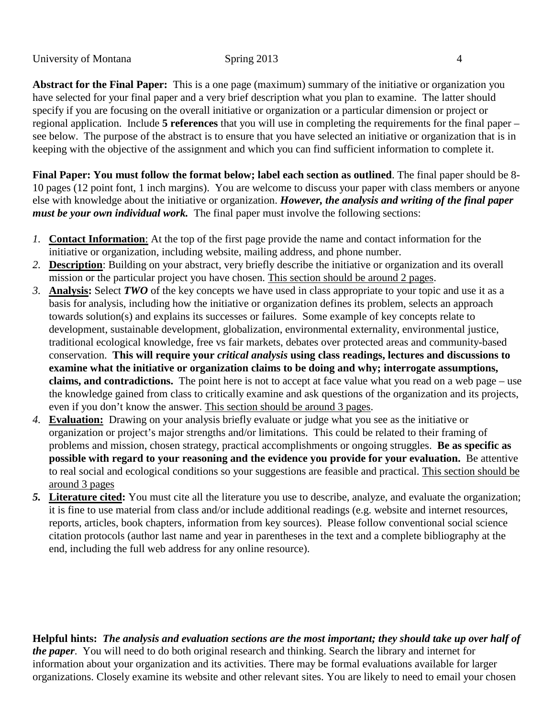**Abstract for the Final Paper:** This is a one page (maximum) summary of the initiative or organization you have selected for your final paper and a very brief description what you plan to examine. The latter should specify if you are focusing on the overall initiative or organization or a particular dimension or project or regional application. Include **5 references** that you will use in completing the requirements for the final paper – see below. The purpose of the abstract is to ensure that you have selected an initiative or organization that is in keeping with the objective of the assignment and which you can find sufficient information to complete it.

**Final Paper: You must follow the format below; label each section as outlined**. The final paper should be 8- 10 pages (12 point font, 1 inch margins). You are welcome to discuss your paper with class members or anyone else with knowledge about the initiative or organization. *However, the analysis and writing of the final paper must be your own individual work.* The final paper must involve the following sections:

- *1.* **Contact Information**: At the top of the first page provide the name and contact information for the initiative or organization, including website, mailing address, and phone number.
- *2.* **Description**: Building on your abstract, very briefly describe the initiative or organization and its overall mission or the particular project you have chosen. This section should be around 2 pages.
- *3.* **Analysis:** Select *TWO* of the key concepts we have used in class appropriate to your topic and use it as a basis for analysis, including how the initiative or organization defines its problem, selects an approach towards solution(s) and explains its successes or failures. Some example of key concepts relate to development, sustainable development, globalization, environmental externality, environmental justice, traditional ecological knowledge, free vs fair markets, debates over protected areas and community-based conservation. **This will require your** *critical analysis* **using class readings, lectures and discussions to examine what the initiative or organization claims to be doing and why; interrogate assumptions, claims, and contradictions.** The point here is not to accept at face value what you read on a web page – use the knowledge gained from class to critically examine and ask questions of the organization and its projects, even if you don't know the answer. This section should be around 3 pages.
- *4.* **Evaluation:** Drawing on your analysis briefly evaluate or judge what you see as the initiative or organization or project's major strengths and/or limitations. This could be related to their framing of problems and mission, chosen strategy, practical accomplishments or ongoing struggles. **Be as specific as possible with regard to your reasoning and the evidence you provide for your evaluation.** Be attentive to real social and ecological conditions so your suggestions are feasible and practical. This section should be around 3 pages
- *5.* **Literature cited:** You must cite all the literature you use to describe, analyze, and evaluate the organization; it is fine to use material from class and/or include additional readings (e.g. website and internet resources, reports, articles, book chapters, information from key sources). Please follow conventional social science citation protocols (author last name and year in parentheses in the text and a complete bibliography at the end, including the full web address for any online resource).

**Helpful hints:** *The analysis and evaluation sections are the most important; they should take up over half of the paper*.You will need to do both original research and thinking. Search the library and internet for information about your organization and its activities. There may be formal evaluations available for larger organizations. Closely examine its website and other relevant sites. You are likely to need to email your chosen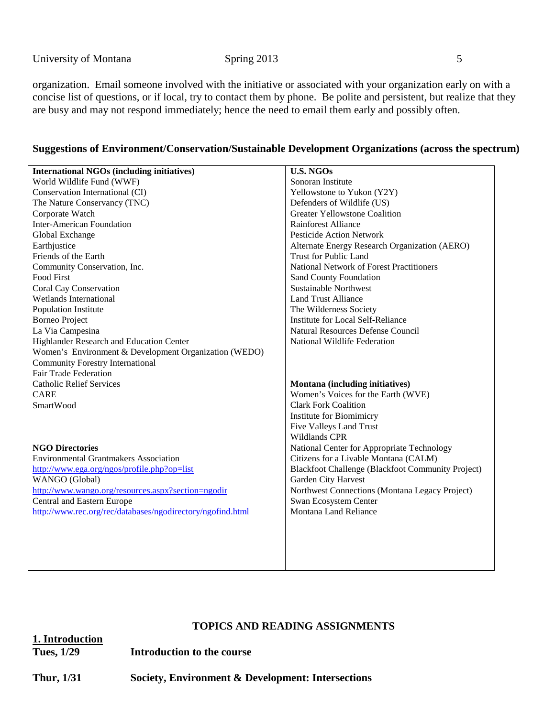organization. Email someone involved with the initiative or associated with your organization early on with a concise list of questions, or if local, try to contact them by phone. Be polite and persistent, but realize that they are busy and may not respond immediately; hence the need to email them early and possibly often.

#### **Suggestions of Environment/Conservation/Sustainable Development Organizations (across the spectrum)**

| <b>International NGOs (including initiatives)</b>          | <b>U.S. NGOs</b>                                  |  |  |
|------------------------------------------------------------|---------------------------------------------------|--|--|
|                                                            | Sonoran Institute                                 |  |  |
| World Wildlife Fund (WWF)                                  |                                                   |  |  |
| Conservation International (CI)                            | Yellowstone to Yukon (Y2Y)                        |  |  |
| The Nature Conservancy (TNC)                               | Defenders of Wildlife (US)                        |  |  |
| Corporate Watch                                            | <b>Greater Yellowstone Coalition</b>              |  |  |
| <b>Inter-American Foundation</b>                           | <b>Rainforest Alliance</b>                        |  |  |
| Global Exchange                                            | <b>Pesticide Action Network</b>                   |  |  |
| Earthjustice                                               | Alternate Energy Research Organization (AERO)     |  |  |
| Friends of the Earth                                       | <b>Trust for Public Land</b>                      |  |  |
| Community Conservation, Inc.                               | <b>National Network of Forest Practitioners</b>   |  |  |
| Food First                                                 | <b>Sand County Foundation</b>                     |  |  |
| Coral Cay Conservation                                     | <b>Sustainable Northwest</b>                      |  |  |
| Wetlands International                                     | <b>Land Trust Alliance</b>                        |  |  |
| Population Institute                                       | The Wilderness Society                            |  |  |
| <b>Borneo Project</b>                                      | <b>Institute for Local Self-Reliance</b>          |  |  |
| La Via Campesina                                           | Natural Resources Defense Council                 |  |  |
| Highlander Research and Education Center                   | National Wildlife Federation                      |  |  |
| Women's Environment & Development Organization (WEDO)      |                                                   |  |  |
| <b>Community Forestry International</b>                    |                                                   |  |  |
| Fair Trade Federation                                      |                                                   |  |  |
| <b>Catholic Relief Services</b>                            | Montana (including initiatives)                   |  |  |
| <b>CARE</b>                                                | Women's Voices for the Earth (WVE)                |  |  |
| SmartWood                                                  | <b>Clark Fork Coalition</b>                       |  |  |
|                                                            | Institute for Biomimicry                          |  |  |
|                                                            | Five Valleys Land Trust                           |  |  |
|                                                            | Wildlands CPR                                     |  |  |
| <b>NGO Directories</b>                                     | National Center for Appropriate Technology        |  |  |
| <b>Environmental Grantmakers Association</b>               | Citizens for a Livable Montana (CALM)             |  |  |
| http://www.ega.org/ngos/profile.php?op=list                | Blackfoot Challenge (Blackfoot Community Project) |  |  |
| WANGO (Global)                                             | Garden City Harvest                               |  |  |
| http://www.wango.org/resources.aspx?section=ngodir         | Northwest Connections (Montana Legacy Project)    |  |  |
| Central and Eastern Europe                                 | Swan Ecosystem Center                             |  |  |
| http://www.rec.org/rec/databases/ngodirectory/ngofind.html | Montana Land Reliance                             |  |  |
|                                                            |                                                   |  |  |
|                                                            |                                                   |  |  |
|                                                            |                                                   |  |  |
|                                                            |                                                   |  |  |
|                                                            |                                                   |  |  |
|                                                            |                                                   |  |  |

#### **TOPICS AND READING ASSIGNMENTS**

**1. Introduction**

**Tues, 1/29 Introduction to the course**

**Thur, 1/31 Society, Environment & Development: Intersections**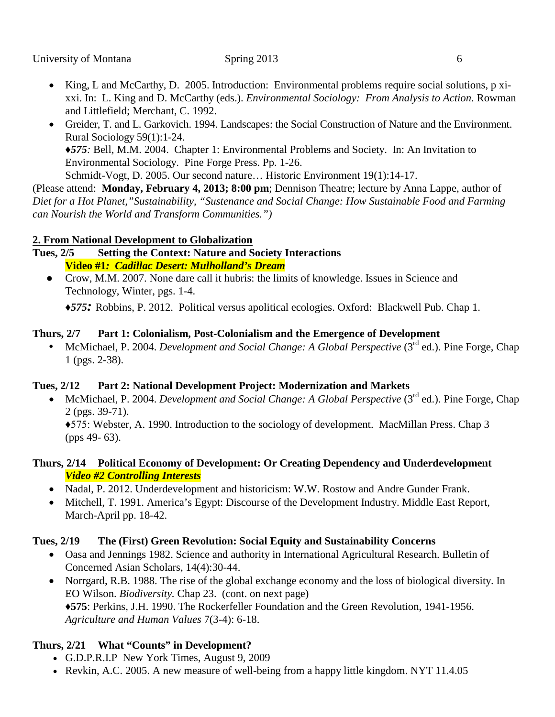- King, L and McCarthy, D. 2005. Introduction: Environmental problems require social solutions, p xixxi. In: L. King and D. McCarthy (eds.). *Environmental Sociology: From Analysis to Action*. Rowman and Littlefield; Merchant, C. 1992.
- Greider, T. and L. Garkovich. 1994. Landscapes: the Social Construction of Nature and the Environment. Rural Sociology 59(1):1-24. *♦575:* Bell, M.M. 2004. Chapter 1: Environmental Problems and Society. In: An Invitation to Environmental Sociology. Pine Forge Press. Pp. 1-26. Schmidt-Vogt, D. 2005. Our second nature… Historic Environment 19(1):14-17.

(Please attend: **Monday, February 4, 2013; 8:00 pm**; Dennison Theatre; lecture by Anna Lappe, author of *Diet for a Hot Planet,"Sustainability, "Sustenance and Social Change: How Sustainable Food and Farming can Nourish the World and Transform Communities.")*

## **2. From National Development to Globalization**

**Tues, 2/5 Setting the Context: Nature and Society Interactions Video #1***: Cadillac Desert: Mulholland's Dream*

● Crow, M.M. 2007. None dare call it hubris: the limits of knowledge. Issues in Science and Technology, Winter, pgs. 1-4.

*♦575:* Robbins, P. 2012. Political versus apolitical ecologies. Oxford: Blackwell Pub. Chap 1.

## **Thurs, 2/7 Part 1: Colonialism, Post-Colonialism and the Emergence of Development**

 • McMichael, P. 2004. *Development and Social Change: A Global Perspective* (3rd ed.). Pine Forge, Chap 1 (pgs. 2-38).

## **Tues, 2/12 Part 2: National Development Project: Modernization and Markets**

• McMichael, P. 2004. *Development and Social Change: A Global Perspective* (3<sup>rd</sup> ed.). Pine Forge, Chap 2 (pgs. 39-71).

♦575: Webster, A. 1990. Introduction to the sociology of development. MacMillan Press. Chap 3 (pps 49- 63).

### **Thurs, 2/14 Political Economy of Development: Or Creating Dependency and Underdevelopment** *Video #2 Controlling Interests*

- Nadal, P. 2012. Underdevelopment and historicism: W.W. Rostow and Andre Gunder Frank.
- Mitchell, T. 1991. America's Egypt: Discourse of the Development Industry. Middle East Report, March-April pp. 18-42.

## **Tues, 2/19 The (First) Green Revolution: Social Equity and Sustainability Concerns**

- Oasa and Jennings 1982. Science and authority in International Agricultural Research. Bulletin of Concerned Asian Scholars, 14(4):30-44.
- Norrgard, R.B. 1988. The rise of the global exchange economy and the loss of biological diversity. In EO Wilson. *Biodiversity.* Chap 23. (cont. on next page) ♦**575**: Perkins, J.H. 1990. The Rockerfeller Foundation and the Green Revolution, 1941-1956. *Agriculture and Human Values* 7(3-4): 6-18.

## **Thurs, 2/21 What "Counts" in Development?**

- G.D.P.R.I.P New York Times, August 9, 2009
- Revkin, A.C. 2005. A new measure of well-being from a happy little kingdom. NYT 11.4.05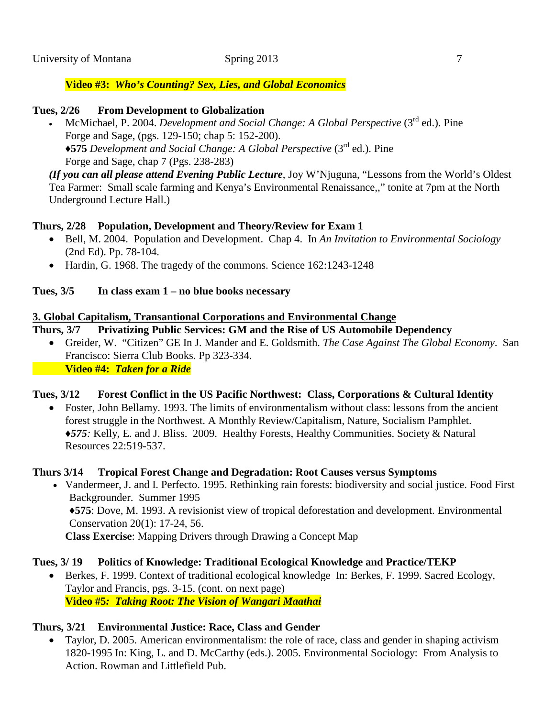## **Video #3:** *Who's Counting? Sex, Lies, and Global Economics*

## **Tues, 2/26 From Development to Globalization**

• McMichael, P. 2004. *Development and Social Change: A Global Perspective* (3rd ed.). Pine Forge and Sage, (pgs. 129-150; chap 5: 152-200). ♦**575** *Development and Social Change: A Global Perspective* (3rd ed.). Pine Forge and Sage, chap 7 (Pgs. 238-283)

*(If you can all please attend Evening Public Lecture*, Joy W'Njuguna, "Lessons from the World's Oldest Tea Farmer: Small scale farming and Kenya's Environmental Renaissance,," tonite at 7pm at the North Underground Lecture Hall.)

# **Thurs, 2/28 Population, Development and Theory/Review for Exam 1**

- Bell, M. 2004. Population and Development. Chap 4. In *An Invitation to Environmental Sociology* (2nd Ed). Pp. 78-104.
- Hardin, G. 1968. The tragedy of the commons. Science 162:1243-1248

## **Tues, 3/5 In class exam 1 – no blue books necessary**

## **3. Global Capitalism, Transantional Corporations and Environmental Change**

## **Thurs, 3/7 Privatizing Public Services: GM and the Rise of US Automobile Dependency**

• Greider, W. "Citizen" GE In J. Mander and E. Goldsmith. *The Case Against The Global Economy*. San Francisco: Sierra Club Books. Pp 323-334. **Video #4:** *Taken for a Ride*

# **Tues, 3/12 Forest Conflict in the US Pacific Northwest: Class, Corporations & Cultural Identity**

• Foster, John Bellamy. 1993. The limits of environmentalism without class: lessons from the ancient forest struggle in the Northwest. A Monthly Review/Capitalism, Nature, Socialism Pamphlet. ♦*575:* Kelly, E. and J. Bliss. 2009. Healthy Forests, Healthy Communities. Society & Natural Resources 22:519-537.

## **Thurs 3/14 Tropical Forest Change and Degradation: Root Causes versus Symptoms**

• Vandermeer, J. and I. Perfecto. 1995. Rethinking rain forests: biodiversity and social justice. Food First Backgrounder. Summer 1995 ♦**575**: Dove, M. 1993. A revisionist view of tropical deforestation and development. Environmental Conservation 20(1): 17-24, 56. **Class Exercise**: Mapping Drivers through Drawing a Concept Map

# **Tues, 3/ 19 Politics of Knowledge: Traditional Ecological Knowledge and Practice/TEKP**

• Berkes, F. 1999. Context of traditional ecological knowledge In: Berkes, F. 1999. Sacred Ecology, Taylor and Francis, pgs. 3-15. (cont. on next page) **Video #5***: Taking Root: The Vision of Wangari Maathai*

# **Thurs, 3/21 Environmental Justice: Race, Class and Gender**

• Taylor, D. 2005. American environmentalism: the role of race, class and gender in shaping activism 1820-1995 In: King, L. and D. McCarthy (eds.). 2005. Environmental Sociology: From Analysis to Action. Rowman and Littlefield Pub.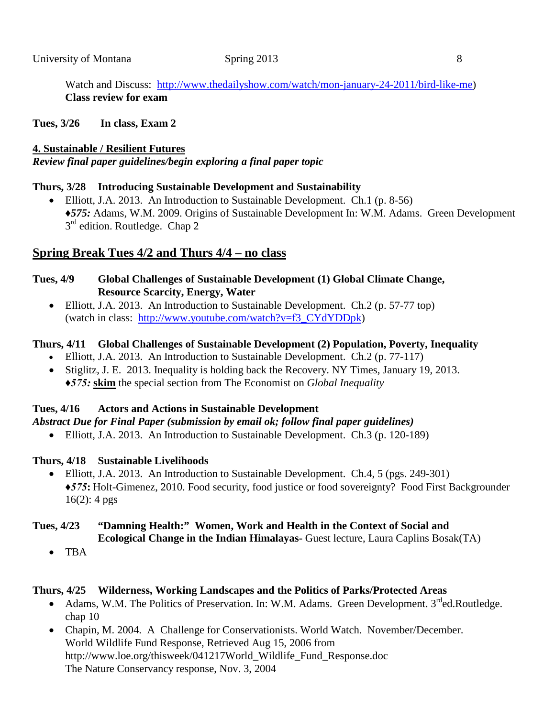Watch and Discuss: [http://www.thedailyshow.com/watch/mon-january-24-2011/bird-like-me\)](http://www.thedailyshow.com/watch/mon-january-24-2011/bird-like-me) **Class review for exam**

**Tues, 3/26 In class, Exam 2**

### **4. Sustainable / Resilient Futures**

*Review final paper guidelines/begin exploring a final paper topic*

### **Thurs, 3/28 Introducing Sustainable Development and Sustainability**

• Elliott, J.A. 2013. An Introduction to Sustainable Development. Ch.1 (p. 8-56) *♦575:* Adams, W.M. 2009. Origins of Sustainable Development In: W.M. Adams. Green Development  $3<sup>rd</sup>$  edition. Routledge. Chap 2

## **Spring Break Tues 4/2 and Thurs 4/4 – no class**

### **Tues, 4/9 Global Challenges of Sustainable Development (1) Global Climate Change, Resource Scarcity, Energy, Water**

• Elliott, J.A. 2013. An Introduction to Sustainable Development. Ch.2 (p. 57-77 top) (watch in class: [http://www.youtube.com/watch?v=f3\\_CYdYDDpk\)](http://www.youtube.com/watch?v=f3_CYdYDDpk)

### **Thurs, 4/11 Global Challenges of Sustainable Development (2) Population, Poverty, Inequality**

- Elliott, J.A. 2013. An Introduction to Sustainable Development. Ch.2 (p. 77-117)
- Stiglitz, J. E. 2013. Inequality is holding back the Recovery. NY Times, January 19, 2013. *♦575:* **skim** the special section from The Economist on *Global Inequality*

### **Tues, 4/16 Actors and Actions in Sustainable Development**

### *Abstract Due for Final Paper (submission by email ok; follow final paper guidelines)*

• Elliott, J.A. 2013. An Introduction to Sustainable Development. Ch.3 (p. 120-189)

### **Thurs, 4/18 Sustainable Livelihoods**

• Elliott, J.A. 2013. An Introduction to Sustainable Development. Ch.4, 5 (pgs. 249-301) *♦575***:** Holt-Gimenez, 2010. Food security, food justice or food sovereignty? Food First Backgrounder  $16(2)$ : 4 pgs

#### **Tues, 4/23 "Damning Health:" Women, Work and Health in the Context of Social and Ecological Change in the Indian Himalayas-** Guest lecture, Laura Caplins Bosak(TA)

• TBA

### **Thurs, 4/25 Wilderness, Working Landscapes and the Politics of Parks/Protected Areas**

- Adams, W.M. The Politics of Preservation. In: W.M. Adams. Green Development. 3<sup>rd</sup>ed.Routledge. chap 10
- Chapin, M. 2004. A Challenge for Conservationists. World Watch. November/December. World Wildlife Fund Response, Retrieved Aug 15, 2006 from [http://www.loe.org/thisweek/041217World\\_Wildlife\\_Fund\\_Response.doc](http://www.loe.org/thisweek/041217World_Wildlife_Fund_Response.doc) The Nature Conservancy response, Nov. 3, 2004